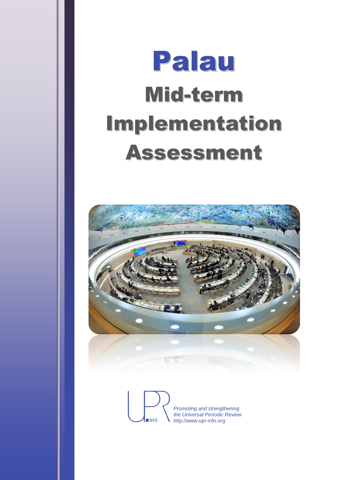# Palau Mid-term Implementation Assessment



*Promoting and strengthening the Universal Periodic Review*  $MINFO$ http://www.upr-info.org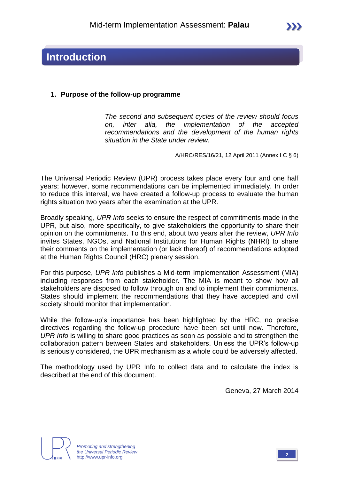### **Introduction**

### **1. Purpose of the follow-up programme**

*The second and subsequent cycles of the review should focus on, inter alia, the implementation of the accepted recommendations and the development of the human rights situation in the State under review.*

A/HRC/RES/16/21, 12 April 2011 (Annex I C § 6)

The Universal Periodic Review (UPR) process takes place every four and one half years; however, some recommendations can be implemented immediately. In order to reduce this interval, we have created a follow-up process to evaluate the human rights situation two years after the examination at the UPR.

Broadly speaking, *UPR Info* seeks to ensure the respect of commitments made in the UPR, but also, more specifically, to give stakeholders the opportunity to share their opinion on the commitments. To this end, about two years after the review, *UPR Info* invites States, NGOs, and National Institutions for Human Rights (NHRI) to share their comments on the implementation (or lack thereof) of recommendations adopted at the Human Rights Council (HRC) plenary session.

For this purpose, *UPR Info* publishes a Mid-term Implementation Assessment (MIA) including responses from each stakeholder. The MIA is meant to show how all stakeholders are disposed to follow through on and to implement their commitments. States should implement the recommendations that they have accepted and civil society should monitor that implementation.

While the follow-up's importance has been highlighted by the HRC, no precise directives regarding the follow-up procedure have been set until now. Therefore, *UPR Info* is willing to share good practices as soon as possible and to strengthen the collaboration pattern between States and stakeholders. Unless the UPR's follow-up is seriously considered, the UPR mechanism as a whole could be adversely affected.

The methodology used by UPR Info to collect data and to calculate the index is described at the end of this document.

Geneva, 27 March 2014



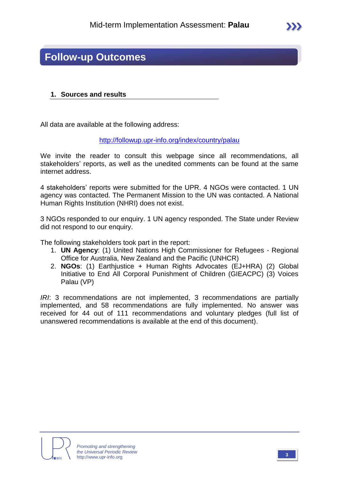### **Follow-up Outcomes**

### **1. Sources and results**

All data are available at the following address:

<http://followup.upr-info.org/index/country/palau>

We invite the reader to consult this webpage since all recommendations, all stakeholders' reports, as well as the unedited comments can be found at the same internet address.

4 stakeholders' reports were submitted for the UPR. 4 NGOs were contacted. 1 UN agency was contacted. The Permanent Mission to the UN was contacted. A National Human Rights Institution (NHRI) does not exist.

3 NGOs responded to our enquiry. 1 UN agency responded. The State under Review did not respond to our enquiry.

The following stakeholders took part in the report:

- 1. **UN Agency**: (1) United Nations High Commissioner for Refugees Regional Office for Australia, New Zealand and the Pacific (UNHCR)
- 2. **NGOs**: (1) Earthjustice + Human Rights Advocates (EJ+HRA) (2) Global Initiative to End All Corporal Punishment of Children (GIEACPC) (3) Voices Palau (VP)

*IRI*: 3 recommendations are not implemented, 3 recommendations are partially implemented, and 58 recommendations are fully implemented. No answer was received for 44 out of 111 recommendations and voluntary pledges (full list of unanswered recommendations is available at the end of this document).



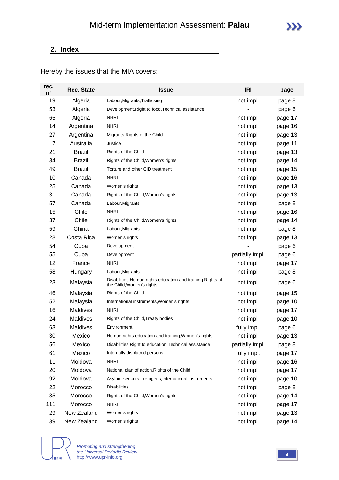### **2. Index**

Hereby the issues that the MIA covers:

| rec.<br>$n^{\circ}$ | <b>Rec. State</b> | <b>Issue</b>                                                                              | <b>IRI</b>      | page    |
|---------------------|-------------------|-------------------------------------------------------------------------------------------|-----------------|---------|
| 19                  | Algeria           | Labour, Migrants, Trafficking                                                             | not impl.       | page 8  |
| 53                  | Algeria           | Development, Right to food, Technical assistance                                          |                 | page 6  |
| 65                  | Algeria           | <b>NHRI</b>                                                                               | not impl.       | page 17 |
| 14                  | Argentina         | <b>NHRI</b>                                                                               | not impl.       | page 16 |
| 27                  | Argentina         | Migrants, Rights of the Child                                                             | not impl.       | page 13 |
| 7                   | Australia         | Justice                                                                                   | not impl.       | page 11 |
| 21                  | <b>Brazil</b>     | Rights of the Child                                                                       | not impl.       | page 13 |
| 34                  | <b>Brazil</b>     | Rights of the Child, Women's rights                                                       | not impl.       | page 14 |
| 49                  | <b>Brazil</b>     | Torture and other CID treatment                                                           | not impl.       | page 15 |
| 10                  | Canada            | <b>NHRI</b>                                                                               | not impl.       | page 16 |
| 25                  | Canada            | Women's rights                                                                            | not impl.       | page 13 |
| 31                  | Canada            | Rights of the Child, Women's rights                                                       | not impl.       | page 13 |
| 57                  | Canada            | Labour, Migrants                                                                          | not impl.       | page 8  |
| 15                  | Chile             | <b>NHRI</b>                                                                               | not impl.       | page 16 |
| 37                  | Chile             | Rights of the Child, Women's rights                                                       | not impl.       | page 14 |
| 59                  | China             | Labour, Migrants                                                                          | not impl.       | page 8  |
| 28                  | Costa Rica        | Women's rights                                                                            | not impl.       | page 13 |
| 54                  | Cuba              | Development                                                                               |                 | page 6  |
| 55                  | Cuba              | Development                                                                               | partially impl. | page 6  |
| 12                  | France            | <b>NHRI</b>                                                                               | not impl.       | page 17 |
| 58                  | Hungary           | Labour, Migrants                                                                          | not impl.       | page 8  |
| 23                  | Malaysia          | Disabilities, Human rights education and training, Rights of<br>the Child, Women's rights | not impl.       | page 6  |
| 46                  | Malaysia          | Rights of the Child                                                                       | not impl.       | page 15 |
| 52                  | Malaysia          | International instruments, Women's rights                                                 | not impl.       | page 10 |
| 16                  | Maldives          | <b>NHRI</b>                                                                               | not impl.       | page 17 |
| 24                  | Maldives          | Rights of the Child, Treaty bodies                                                        | not impl.       | page 10 |
| 63                  | Maldives          | Environment                                                                               | fully impl.     | page 6  |
| 30                  | Mexico            | Human rights education and training, Women's rights                                       | not impl.       | page 13 |
| 56                  | Mexico            | Disabilities, Right to education, Technical assistance                                    | partially impl. | page 8  |
| 61                  | Mexico            | Internally displaced persons                                                              | fully impl.     | page 17 |
| 11                  | Moldova           | <b>NHRI</b>                                                                               | not impl.       | page 16 |
| 20                  | Moldova           | National plan of action, Rights of the Child                                              | not impl.       | page 17 |
| 92                  | Moldova           | Asylum-seekers - refugees, International instruments                                      | not impl.       | page 10 |
| 22                  | Morocco           | <b>Disabilities</b>                                                                       | not impl.       | page 8  |
| 35                  | Morocco           | Rights of the Child, Women's rights                                                       | not impl.       | page 14 |
| 111                 | Morocco           | <b>NHRI</b>                                                                               | not impl.       | page 17 |
| 29                  | New Zealand       | Women's rights                                                                            | not impl.       | page 13 |
| 39                  | New Zealand       | Women's rights                                                                            | not impl.       | page 14 |



*Promoting and strengthening the Universal Periodic Review* http://www.upr-info.org **<sup>4</sup>**

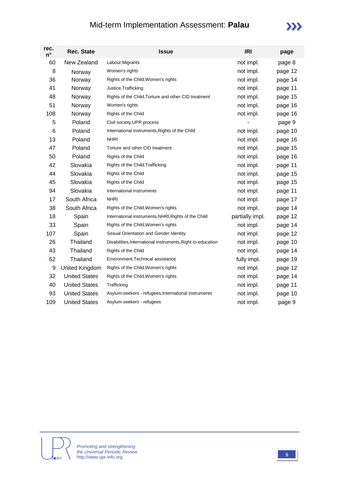### Mid-term Implementation Assessment: **Palau**

| rec.<br>$n^{\circ}$ | <b>Rec. State</b>    | <b>Issue</b>                                                | <b>IRI</b>      | page    |
|---------------------|----------------------|-------------------------------------------------------------|-----------------|---------|
| 60                  | New Zealand          | Labour, Migrants                                            | not impl.       | page 8  |
| 8                   | Norway               | Women's rights                                              | not impl.       | page 12 |
| 36                  | Norway               | Rights of the Child, Women's rights                         | not impl.       | page 14 |
| 41                  | Norway               | Justice, Trafficking                                        | not impl.       | page 11 |
| 48                  | Norway               | Rights of the Child, Torture and other CID treatment        | not impl.       | page 15 |
| 51                  | Norway               | Women's rights                                              | not impl.       | page 16 |
| 108                 | Norway               | Rights of the Child                                         | not impl.       | page 16 |
| 5                   | Poland               | Civil society, UPR process                                  |                 | page 9  |
| 6                   | Poland               | International instruments, Rights of the Child              | not impl.       | page 10 |
| 13                  | Poland               | <b>NHRI</b>                                                 | not impl.       | page 16 |
| 47                  | Poland               | Torture and other CID treatment                             | not impl.       | page 15 |
| 50                  | Poland               | Rights of the Child                                         | not impl.       | page 16 |
| 42                  | Slovakia             | Rights of the Child, Trafficking                            | not impl.       | page 11 |
| 44                  | Slovakia             | Rights of the Child                                         | not impl.       | page 15 |
| 45                  | Slovakia             | Rights of the Child                                         | not impl.       | page 15 |
| 94                  | Slovakia             | International instruments                                   | not impl.       | page 11 |
| 17                  | South Africa         | <b>NHRI</b>                                                 | not impl.       | page 17 |
| 38                  | South Africa         | Rights of the Child, Women's rights                         | not impl.       | page 14 |
| 18                  | Spain                | International instruments, NHRI, Rights of the Child        | partially impl. | page 12 |
| 33                  | Spain                | Rights of the Child, Women's rights                         | not impl.       | page 14 |
| 107                 | Spain                | Sexual Orientation and Gender Identity                      | not impl.       | page 12 |
| 26                  | Thailand             | Disabilities, International instruments, Right to education | not impl.       | page 10 |
| 43                  | Thailand             | Rights of the Child                                         | not impl.       | page 14 |
| 62                  | Thailand             | Environment, Technical assistance                           | fully impl.     | page 19 |
| 9                   | United Kingdom       | Rights of the Child, Women's rights                         | not impl.       | page 12 |
| 32                  | <b>United States</b> | Rights of the Child, Women's rights                         | not impl.       | page 14 |
| 40                  | <b>United States</b> | Trafficking                                                 | not impl.       | page 11 |
| 93                  | <b>United States</b> | Asylum-seekers - refugees, International instruments        | not impl.       | page 10 |
| 109                 | <b>United States</b> | Asylum-seekers - refugees                                   | not impl.       | page 9  |

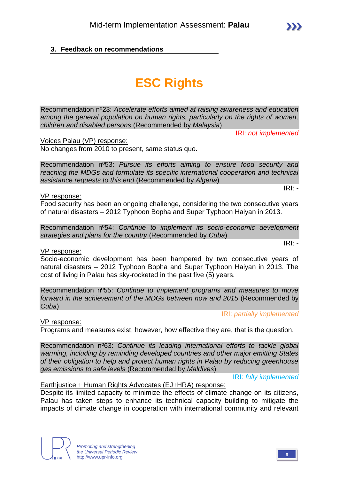### **3. Feedback on recommendations**

# **ESC Rights**

Recommendation nº23: *Accelerate efforts aimed at raising awareness and education among the general population on human rights, particularly on the rights of women, children and disabled persons* (Recommended by *Malaysia*)

IRI: *not implemented*

Voices Palau (VP) response:

No changes from 2010 to present, same status quo.

Recommendation nº53: *Pursue its efforts aiming to ensure food security and reaching the MDGs and formulate its specific international cooperation and technical assistance requests to this end* (Recommended by *Algeria*)

VP response:

Food security has been an ongoing challenge, considering the two consecutive years of natural disasters – 2012 Typhoon Bopha and Super Typhoon Haiyan in 2013.

Recommendation nº54: *Continue to implement its socio-economic development strategies and plans for the country* (Recommended by *Cuba*)

### VP response:

Socio-economic development has been hampered by two consecutive years of natural disasters – 2012 Typhoon Bopha and Super Typhoon Haiyan in 2013. The cost of living in Palau has sky-rocketed in the past five (5) years.

Recommendation nº55: *Continue to implement programs and measures to move forward in the achievement of the MDGs between now and 2015 (Recommended by Cuba*)

IRI: *partially implemented*

VP response:

Programs and measures exist, however, how effective they are, that is the question.

Recommendation nº63: *Continue its leading international efforts to tackle global warming, including by reminding developed countries and other major emitting States of their obligation to help and protect human rights in Palau by reducing greenhouse gas emissions to safe levels* (Recommended by *Maldives*)

IRI: *fully implemented*

### Earthjustice + Human Rights Advocates (EJ+HRA) response:

Despite its limited capacity to minimize the effects of climate change on its citizens, Palau has taken steps to enhance its technical capacity building to mitigate the impacts of climate change in cooperation with international community and relevant



IRI: *-*

IRI: *-*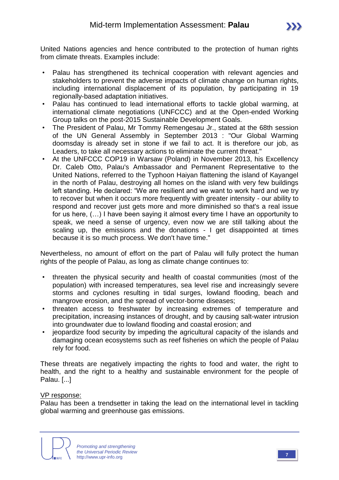United Nations agencies and hence contributed to the protection of human rights from climate threats. Examples include:

- Palau has strengthened its technical cooperation with relevant agencies and stakeholders to prevent the adverse impacts of climate change on human rights, including international displacement of its population, by participating in 19 regionally-based adaptation initiatives.
- Palau has continued to lead international efforts to tackle global warming, at international climate negotiations (UNFCCC) and at the Open-ended Working Group talks on the post-2015 Sustainable Development Goals.
- The President of Palau, Mr Tommy Remengesau Jr., stated at the 68th session of the UN General Assembly in September 2013 : "Our Global Warming doomsday is already set in stone if we fail to act. It is therefore our job, as Leaders, to take all necessary actions to eliminate the current threat."
- At the UNFCCC COP19 in Warsaw (Poland) in November 2013, his Excellency Dr. Caleb Otto, Palau's Ambassador and Permanent Representative to the United Nations, referred to the Typhoon Haiyan flattening the island of Kayangel in the north of Palau, destroying all homes on the island with very few buildings left standing. He declared: "We are resilient and we want to work hard and we try to recover but when it occurs more frequently with greater intensity - our ability to respond and recover just gets more and more diminished so that's a real issue for us here, (…) I have been saying it almost every time I have an opportunity to speak, we need a sense of urgency, even now we are still talking about the scaling up, the emissions and the donations - I get disappointed at times because it is so much process. We don't have time."

Nevertheless, no amount of effort on the part of Palau will fully protect the human rights of the people of Palau, as long as climate change continues to:

- threaten the physical security and health of coastal communities (most of the population) with increased temperatures, sea level rise and increasingly severe storms and cyclones resulting in tidal surges, lowland flooding, beach and mangrove erosion, and the spread of vector-borne diseases;
- threaten access to freshwater by increasing extremes of temperature and precipitation, increasing instances of drought, and by causing salt-water intrusion into groundwater due to lowland flooding and coastal erosion; and
- jeopardize food security by impeding the agricultural capacity of the islands and damaging ocean ecosystems such as reef fisheries on which the people of Palau rely for food.

These threats are negatively impacting the rights to food and water, the right to health, and the right to a healthy and sustainable environment for the people of Palau. [...]

### VP response:

Palau has been a trendsetter in taking the lead on the international level in tackling global warming and greenhouse gas emissions.

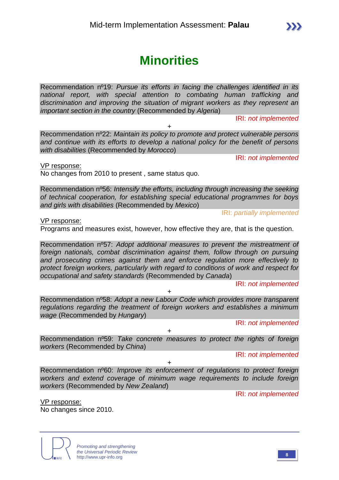Recommendation nº22: *Maintain its policy to promote and protect vulnerable persons and continue with its efforts to develop a national policy for the benefit of persons with disabilities* (Recommended by *Morocco*)

VP response:

No changes from 2010 to present , same status quo.

Recommendation nº56: *Intensify the efforts, including through increasing the seeking of technical cooperation, for establishing special educational programmes for boys and girls with disabilities* (Recommended by *Mexico*)

IRI: *partially implemented*

VP response:

Programs and measures exist, however, how effective they are, that is the question.

Recommendation nº57: *Adopt additional measures to prevent the mistreatment of foreign nationals, combat discrimination against them, follow through on pursuing and prosecuting crimes against them and enforce regulation more effectively to protect foreign workers, particularly with regard to conditions of work and respect for occupational and safety standards* (Recommended by *Canada*)

IRI: *not implemented*

Recommendation nº58: *Adopt a new Labour Code which provides more transparent regulations regarding the treatment of foreign workers and establishes a minimum wage* (Recommended by *Hungary*)

 $\ddot{\phantom{1}}$ 

IRI: *not implemented*

+ Recommendation nº59: *Take concrete measures to protect the rights of foreign workers* (Recommended by *China*)

IRI: *not implemented*

Recommendation nº60: *Improve its enforcement of regulations to protect foreign workers and extend coverage of minimum wage requirements to include foreign workers* (Recommended by *New Zealand*)

+

IRI: *not implemented*

**Minorities**

Recommendation nº19: *Pursue its efforts in facing the challenges identified in its national report, with special attention to combating human trafficking and discrimination and improving the situation of migrant workers as they represent an important section in the country* (Recommended by *Algeria*)

+

IRI: *not implemented*

IRI: *not implemented*

No changes since 2010.



VP response: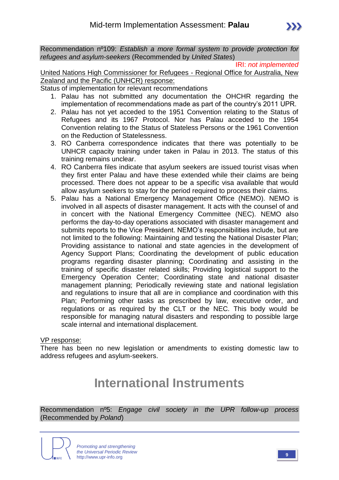Recommendation nº109: *Establish a more formal system to provide protection for refugees and asylum-seekers* (Recommended by *United States*)

IRI: *not implemented*

United Nations High Commissioner for Refugees - Regional Office for Australia, New Zealand and the Pacific (UNHCR) response:

Status of implementation for relevant recommendations

- 1. Palau has not submitted any documentation the OHCHR regarding the implementation of recommendations made as part of the country's 2011 UPR.
- 2. Palau has not yet acceded to the 1951 Convention relating to the Status of Refugees and its 1967 Protocol. Nor has Palau acceded to the 1954 Convention relating to the Status of Stateless Persons or the 1961 Convention on the Reduction of Statelessness.
- 3. RO Canberra correspondence indicates that there was potentially to be UNHCR capacity training under taken in Palau in 2013. The status of this training remains unclear.
- 4. RO Canberra files indicate that asylum seekers are issued tourist visas when they first enter Palau and have these extended while their claims are being processed. There does not appear to be a specific visa available that would allow asylum seekers to stay for the period required to process their claims.
- 5. Palau has a National Emergency Management Office (NEMO). NEMO is involved in all aspects of disaster management. It acts with the counsel of and in concert with the National Emergency Committee (NEC). NEMO also performs the day-to-day operations associated with disaster management and submits reports to the Vice President. NEMO's responsibilities include, but are not limited to the following: Maintaining and testing the National Disaster Plan; Providing assistance to national and state agencies in the development of Agency Support Plans; Coordinating the development of public education programs regarding disaster planning; Coordinating and assisting in the training of specific disaster related skills; Providing logistical support to the Emergency Operation Center; Coordinating state and national disaster management planning; Periodically reviewing state and national legislation and regulations to insure that all are in compliance and coordination with this Plan; Performing other tasks as prescribed by law, executive order, and regulations or as required by the CLT or the NEC. This body would be responsible for managing natural disasters and responding to possible large scale internal and international displacement.

### VP response:

There has been no new legislation or amendments to existing domestic law to address refugees and asylum-seekers.

## **International Instruments**

Recommendation nº5: *Engage civil society in the UPR follow-up process*  (Recommended by *Poland*)

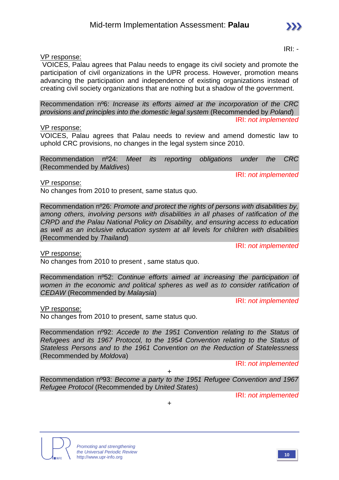### VP response:

VOICES, Palau agrees that Palau needs to engage its civil society and promote the participation of civil organizations in the UPR process. However, promotion means advancing the participation and independence of existing organizations instead of creating civil society organizations that are nothing but a shadow of the government.

Recommendation nº6: *Increase its efforts aimed at the incorporation of the CRC provisions and principles into the domestic legal system* (Recommended by *Poland*) IRI: *not implemented*

### VP response:

VOICES, Palau agrees that Palau needs to review and amend domestic law to uphold CRC provisions, no changes in the legal system since 2010.

Recommendation nº24: *Meet its reporting obligations under the CRC*  (Recommended by *Maldives*)

VP response:

No changes from 2010 to present, same status quo.

Recommendation nº26: *Promote and protect the rights of persons with disabilities by, among others, involving persons with disabilities in all phases of ratification of the CRPD and the Palau National Policy on Disability, and ensuring access to education as well as an inclusive education system at all levels for children with disabilities*  (Recommended by *Thailand*)

IRI: *not implemented*

IRI: *not implemented*

VP response:

No changes from 2010 to present , same status quo.

Recommendation nº52: *Continue efforts aimed at increasing the participation of women in the economic and political spheres as well as to consider ratification of CEDAW* (Recommended by *Malaysia*)

IRI: *not implemented*

VP response:

No changes from 2010 to present, same status quo.

Recommendation nº92: *Accede to the 1951 Convention relating to the Status of Refugees and its 1967 Protocol, to the 1954 Convention relating to the Status of Stateless Persons and to the 1961 Convention on the Reduction of Statelessness*  (Recommended by *Moldova*)

IRI: *not implemented*

 $+$ Recommendation nº93: *Become a party to the 1951 Refugee Convention and 1967 Refugee Protocol* (Recommended by *United States*)

+







IRI: *-*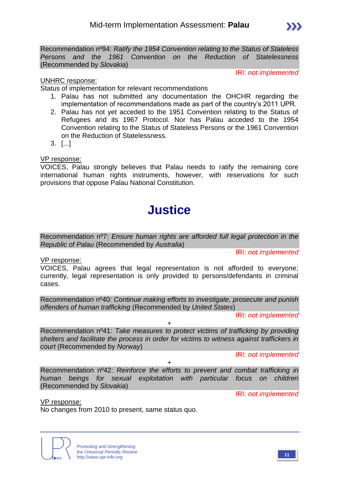Recommendation nº94: *Ratify the 1954 Convention relating to the Status of Stateless Persons and the 1961 Convention on the Reduction of Statelessness*  (Recommended by *Slovakia*)

IRI: *not implemented*

 $\sum$ 

### UNHRC response:

Status of implementation for relevant recommendations

- 1. Palau has not submitted any documentation the OHCHR regarding the implementation of recommendations made as part of the country's 2011 UPR.
- 2. Palau has not yet acceded to the 1951 Convention relating to the Status of Refugees and its 1967 Protocol. Nor has Palau acceded to the 1954 Convention relating to the Status of Stateless Persons or the 1961 Convention on the Reduction of Statelessness.
- 3. [...]

VP response:

VOICES, Palau strongly believes that Palau needs to ratify the remaining core international human rights instruments, however, with reservations for such provisions that oppose Palau National Constitution.

# **Justice**

Recommendation nº7: *Ensure human rights are afforded full legal protection in the Republic of Palau* (Recommended by *Australia*)

IRI: *not implemented*

VP response:

VOICES, Palau agrees that legal representation is not afforded to everyone; currently, legal representation is only provided to persons/defendants in criminal cases.

Recommendation nº40: *Continue making efforts to investigate, prosecute and punish offenders of human trafficking* (Recommended by *United States*)

IRI: *not implemented*

+

Recommendation nº41: *Take measures to protect victims of trafficking by providing shelters and facilitate the process in order for victims to witness against traffickers in court* (Recommended by *Norway*)

IRI: *not implemented*

Recommendation nº42: *Reinforce the efforts to prevent and combat trafficking in human beings for sexual exploitation with particular focus on children*  (Recommended by *Slovakia*)

+

IRI: *not implemented*

VP response:

No changes from 2010 to present, same status quo.

*Promoting and strengthening the Universal Periodic Review* http://www.upr-info.org

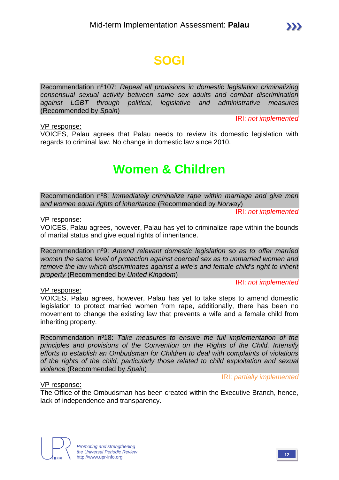# **SOGI**

Recommendation nº107: *Repeal all provisions in domestic legislation criminalizing consensual sexual activity between same sex adults and combat discrimination against LGBT through political, legislative and administrative measures*  (Recommended by *Spain*)

VP response:

IRI: *not implemented*

VOICES, Palau agrees that Palau needs to review its domestic legislation with regards to criminal law. No change in domestic law since 2010.

# **Women & Children**

Recommendation nº8: *Immediately criminalize rape within marriage and give men and women equal rights of inheritance* (Recommended by *Norway*)

IRI: *not implemented*

VP response:

VOICES, Palau agrees, however, Palau has yet to criminalize rape within the bounds of marital status and give equal rights of inheritance.

Recommendation nº9: *Amend relevant domestic legislation so as to offer married women the same level of protection against coerced sex as to unmarried women and remove the law which discriminates against a wife's and female child's right to inherit property* (Recommended by *United Kingdom*)

IRI: *not implemented*

VP response:

VOICES, Palau agrees, however, Palau has yet to take steps to amend domestic legislation to protect married women from rape, additionally, there has been no movement to change the existing law that prevents a wife and a female child from inheriting property.

Recommendation nº18: *Take measures to ensure the full implementation of the principles and provisions of the Convention on the Rights of the Child. Intensify efforts to establish an Ombudsman for Children to deal with complaints of violations of the rights of the child, particularly those related to child exploitation and sexual violence* (Recommended by *Spain*)

IRI: *partially implemented*

### VP response:

The Office of the Ombudsman has been created within the Executive Branch, hence, lack of independence and transparency.

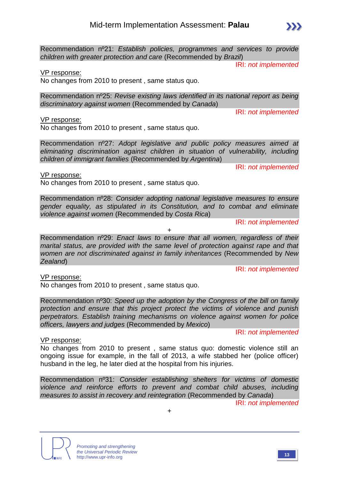Recommendation nº21: *Establish policies, programmes and services to provide children with greater protection and care* (Recommended by *Brazil*)

IRI: *not implemented*

IRI: *not implemented*

VP response:

No changes from 2010 to present , same status quo.

Recommendation nº25: *Revise existing laws identified in its national report as being discriminatory against women* (Recommended by *Canada*)

VP response:

VP response:

No changes from 2010 to present , same status quo.

No changes from 2010 to present , same status quo.

Recommendation nº27: *Adopt legislative and public policy measures aimed at eliminating discrimination against children in situation of vulnerability, including children of immigrant families* (Recommended by *Argentina*)

IRI: *not implemented*

Recommendation nº28: *Consider adopting national legislative measures to ensure gender equality, as stipulated in its Constitution, and to combat and eliminate violence against women* (Recommended by *Costa Rica*)

IRI: *not implemented*

Recommendation nº29: *Enact laws to ensure that all women, regardless of their marital status, are provided with the same level of protection against rape and that women are not discriminated against in family inheritances* (Recommended by *New Zealand*)

+

IRI: *not implemented*

VP response:

No changes from 2010 to present , same status quo.

Recommendation nº30: *Speed up the adoption by the Congress of the bill on family protection and ensure that this project protect the victims of violence and punish perpetrators. Establish training mechanisms on violence against women for police officers, lawyers and judges* (Recommended by *Mexico*)

IRI: *not implemented*

VP response:

No changes from 2010 to present , same status quo: domestic violence still an ongoing issue for example, in the fall of 2013, a wife stabbed her (police officer) husband in the leg, he later died at the hospital from his injuries.

Recommendation nº31: *Consider establishing shelters for victims of domestic violence and reinforce efforts to prevent and combat child abuses, including measures to assist in recovery and reintegration* (Recommended by *Canada*)

+

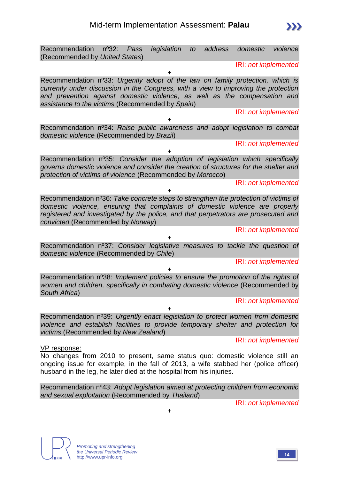

Recommendation nº43: *Adopt legislation aimed at protecting children from economic and sexual exploitation* (Recommended by *Thailand*)

+



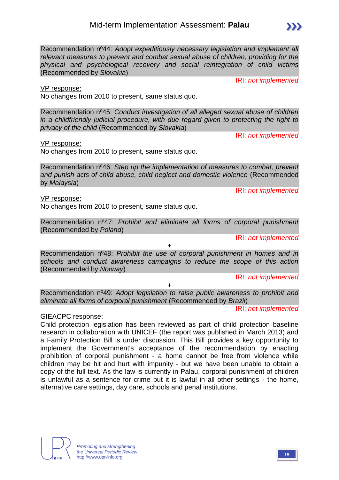Recommendation nº44: *Adopt expeditiously necessary legislation and implement all relevant measures to prevent and combat sexual abuse of children, providing for the physical and psychological recovery and social reintegration of child victims*  (Recommended by *Slovakia*)

VP response:

No changes from 2010 to present, same status quo.

Recommendation nº45: *Conduct investigation of all alleged sexual abuse of children in a childfriendly judicial procedure, with due regard given to protecting the right to privacy of the child* (Recommended by *Slovakia*)

IRI: *not implemented*

IRI: *not implemented*

VP response:

No changes from 2010 to present, same status quo.

Recommendation nº46: *Step up the implementation of measures to combat, prevent and punish acts of child abuse, child neglect and domestic violence* (Recommended by *Malaysia*)

VP response:

No changes from 2010 to present, same status quo.

Recommendation nº47: *Prohibit and eliminate all forms of corporal punishment*  (Recommended by *Poland*)

IRI: *not implemented*

Recommendation nº48: *Prohibit the use of corporal punishment in homes and in schools and conduct awareness campaigns to reduce the scope of this action*  (Recommended by *Norway*)

+

IRI: *not implemented*

Recommendation nº49: *Adopt legislation to raise public awareness to prohibit and eliminate all forms of corporal punishment* (Recommended by *Brazil*)

 $+$ 

IRI: *not implemented*

### GIEACPC response:

Child protection legislation has been reviewed as part of child protection baseline research in collaboration with UNICEF (the report was published in March 2013) and a Family Protection Bill is under discussion. This Bill provides a key opportunity to implement the Government's acceptance of the recommendation by enacting prohibition of corporal punishment - a home cannot be free from violence while children may be hit and hurt with impunity - but we have been unable to obtain a copy of the full text. As the law is currently in Palau, corporal punishment of children is unlawful as a sentence for crime but it is lawful in all other settings - the home, alternative care settings, day care, schools and penal institutions.



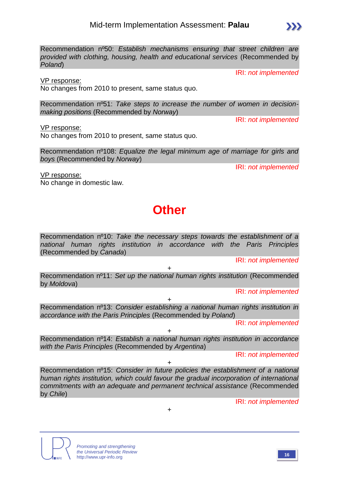

IRI: *not implemented*

VP response:

No changes from 2010 to present, same status quo.

Recommendation nº51: *Take steps to increase the number of women in decisionmaking positions* (Recommended by *Norway*)

VP response:

No changes from 2010 to present, same status quo.

Recommendation nº108: *Equalize the legal minimum age of marriage for girls and boys* (Recommended by *Norway*)

IRI: *not implemented*

IRI: *not implemented*

VP response: No change in domestic law.

# **Other**

Recommendation nº10: *Take the necessary steps towards the establishment of a national human rights institution in accordance with the Paris Principles*  (Recommended by *Canada*)

IRI: *not implemented*

Recommendation nº11: *Set up the national human rights institution* (Recommended by *Moldova*)

+

IRI: *not implemented*

Recommendation nº13: *Consider establishing a national human rights institution in accordance with the Paris Principles* (Recommended by *Poland*)

+

IRI: *not implemented*

+ Recommendation nº14: *Establish a national human rights institution in accordance with the Paris Principles* (Recommended by *Argentina*)

IRI: *not implemented*

+

Recommendation nº15: *Consider in future policies the establishment of a national human rights institution, which could favour the gradual incorporation of international commitments with an adequate and permanent technical assistance* (Recommended by *Chile*)

+





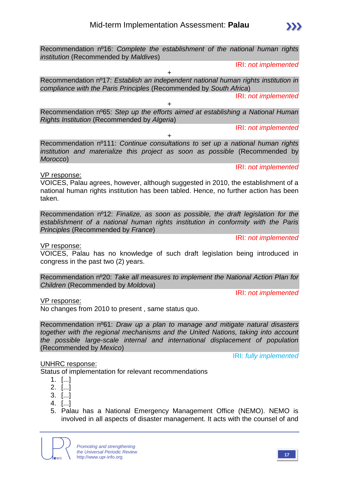*compliance with the Paris Principles* (Recommended by *South Africa*)

*institution* (Recommended by *Maldives*)

 $\pm$ Recommendation nº111: *Continue consultations to set up a national human rights institution and materialize this project as soon as possible* (Recommended by *Morocco*)

VP response:

VOICES, Palau agrees, however, although suggested in 2010, the establishment of a national human rights institution has been tabled. Hence, no further action has been taken.

Recommendation nº12: *Finalize, as soon as possible, the draft legislation for the establishment of a national human rights institution in conformity with the Paris Principles* (Recommended by *France*)

VP response:

VOICES, Palau has no knowledge of such draft legislation being introduced in congress in the past two (2) years.

Recommendation nº20: *Take all measures to implement the National Action Plan for Children* (Recommended by *Moldova*)

IRI: *not implemented*

IRI: *not implemented*

### VP response:

No changes from 2010 to present , same status quo.

Recommendation nº61: *Draw up a plan to manage and mitigate natural disasters together with the regional mechanisms and the United Nations, taking into account the possible large-scale internal and international displacement of population*  (Recommended by *Mexico*)

IRI: *fully implemented*

UNHRC response: Status of implementation for relevant recommendations

- 1. [...]
- 2. [...]
- 3. [...]
- 4. [...]
- 5. Palau has a National Emergency Management Office (NEMO). NEMO is involved in all aspects of disaster management. It acts with the counsel of and

*Promoting and strengthening the Universal Periodic Review* http://www.upr-info.org **<sup>17</sup>**

Recommendation nº16: *Complete the establishment of the national human rights* 

+ Recommendation nº17: *Establish an independent national human rights institution in* 

+





IRI: *not implemented*

IRI: *not implemented*

IRI: *not implemented*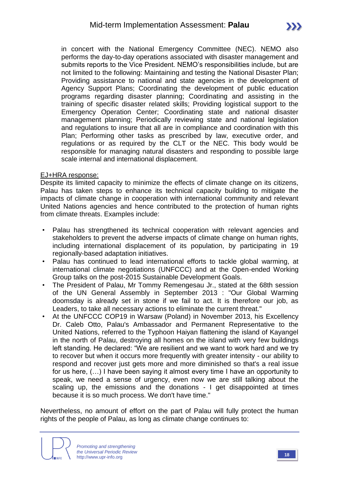in concert with the National Emergency Committee (NEC). NEMO also performs the day-to-day operations associated with disaster management and submits reports to the Vice President. NEMO's responsibilities include, but are not limited to the following: Maintaining and testing the National Disaster Plan; Providing assistance to national and state agencies in the development of Agency Support Plans; Coordinating the development of public education programs regarding disaster planning; Coordinating and assisting in the training of specific disaster related skills; Providing logistical support to the Emergency Operation Center; Coordinating state and national disaster management planning; Periodically reviewing state and national legislation and regulations to insure that all are in compliance and coordination with this Plan; Performing other tasks as prescribed by law, executive order, and regulations or as required by the CLT or the NEC. This body would be responsible for managing natural disasters and responding to possible large scale internal and international displacement.

#### EJ+HRA response:

Despite its limited capacity to minimize the effects of climate change on its citizens, Palau has taken steps to enhance its technical capacity building to mitigate the impacts of climate change in cooperation with international community and relevant United Nations agencies and hence contributed to the protection of human rights from climate threats. Examples include:

- Palau has strengthened its technical cooperation with relevant agencies and stakeholders to prevent the adverse impacts of climate change on human rights, including international displacement of its population, by participating in 19 regionally-based adaptation initiatives.
- Palau has continued to lead international efforts to tackle global warming, at international climate negotiations (UNFCCC) and at the Open-ended Working Group talks on the post-2015 Sustainable Development Goals.
- The President of Palau, Mr Tommy Remengesau Jr., stated at the 68th session of the UN General Assembly in September 2013 : "Our Global Warming doomsday is already set in stone if we fail to act. It is therefore our job, as Leaders, to take all necessary actions to eliminate the current threat."
- At the UNFCCC COP19 in Warsaw (Poland) in November 2013, his Excellency Dr. Caleb Otto, Palau's Ambassador and Permanent Representative to the United Nations, referred to the Typhoon Haiyan flattening the island of Kayangel in the north of Palau, destroying all homes on the island with very few buildings left standing. He declared: "We are resilient and we want to work hard and we try to recover but when it occurs more frequently with greater intensity - our ability to respond and recover just gets more and more diminished so that's a real issue for us here, (…) I have been saying it almost every time I have an opportunity to speak, we need a sense of urgency, even now we are still talking about the scaling up, the emissions and the donations - I get disappointed at times because it is so much process. We don't have time."

Nevertheless, no amount of effort on the part of Palau will fully protect the human rights of the people of Palau, as long as climate change continues to: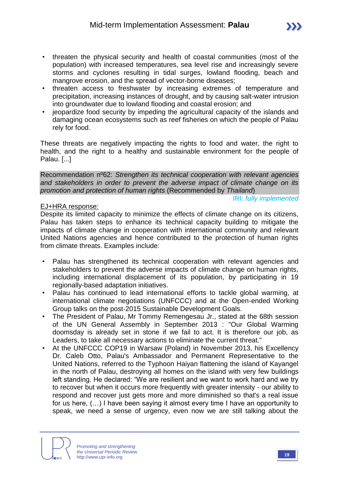- threaten the physical security and health of coastal communities (most of the population) with increased temperatures, sea level rise and increasingly severe storms and cyclones resulting in tidal surges, lowland flooding, beach and mangrove erosion, and the spread of vector-borne diseases;
- threaten access to freshwater by increasing extremes of temperature and precipitation, increasing instances of drought, and by causing salt-water intrusion into groundwater due to lowland flooding and coastal erosion; and
- jeopardize food security by impeding the agricultural capacity of the islands and damaging ocean ecosystems such as reef fisheries on which the people of Palau rely for food.

These threats are negatively impacting the rights to food and water, the right to health, and the right to a healthy and sustainable environment for the people of Palau. [...]

Recommendation nº62: *Strengthen its technical cooperation with relevant agencies and stakeholders in order to prevent the adverse impact of climate change on its promotion and protection of human rights* (Recommended by *Thailand*)

IRI: *fully implemented*

### EJ+HRA response:

Despite its limited capacity to minimize the effects of climate change on its citizens, Palau has taken steps to enhance its technical capacity building to mitigate the impacts of climate change in cooperation with international community and relevant United Nations agencies and hence contributed to the protection of human rights from climate threats. Examples include:

- Palau has strengthened its technical cooperation with relevant agencies and stakeholders to prevent the adverse impacts of climate change on human rights, including international displacement of its population, by participating in 19 regionally-based adaptation initiatives.
- Palau has continued to lead international efforts to tackle global warming, at international climate negotiations (UNFCCC) and at the Open-ended Working Group talks on the post-2015 Sustainable Development Goals.
- The President of Palau, Mr Tommy Remengesau Jr., stated at the 68th session of the UN General Assembly in September 2013 : "Our Global Warming doomsday is already set in stone if we fail to act. It is therefore our job, as Leaders, to take all necessary actions to eliminate the current threat."
- At the UNFCCC COP19 in Warsaw (Poland) in November 2013, his Excellency Dr. Caleb Otto, Palau's Ambassador and Permanent Representative to the United Nations, referred to the Typhoon Haiyan flattening the island of Kayangel in the north of Palau, destroying all homes on the island with very few buildings left standing. He declared: "We are resilient and we want to work hard and we try to recover but when it occurs more frequently with greater intensity - our ability to respond and recover just gets more and more diminished so that's a real issue for us here, (…) I have been saying it almost every time I have an opportunity to speak, we need a sense of urgency, even now we are still talking about the

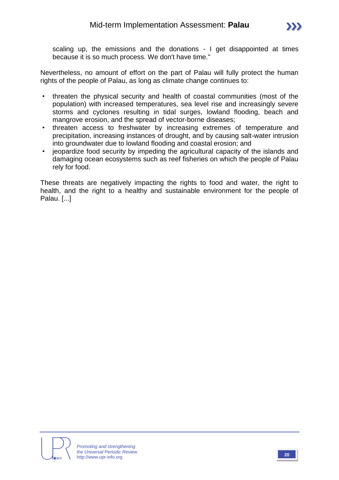scaling up, the emissions and the donations - I get disappointed at times because it is so much process. We don't have time."

Nevertheless, no amount of effort on the part of Palau will fully protect the human rights of the people of Palau, as long as climate change continues to:

- threaten the physical security and health of coastal communities (most of the population) with increased temperatures, sea level rise and increasingly severe storms and cyclones resulting in tidal surges, lowland flooding, beach and mangrove erosion, and the spread of vector-borne diseases;
- threaten access to freshwater by increasing extremes of temperature and precipitation, increasing instances of drought, and by causing salt-water intrusion into groundwater due to lowland flooding and coastal erosion; and
- jeopardize food security by impeding the agricultural capacity of the islands and damaging ocean ecosystems such as reef fisheries on which the people of Palau rely for food.

These threats are negatively impacting the rights to food and water, the right to health, and the right to a healthy and sustainable environment for the people of Palau. [...]

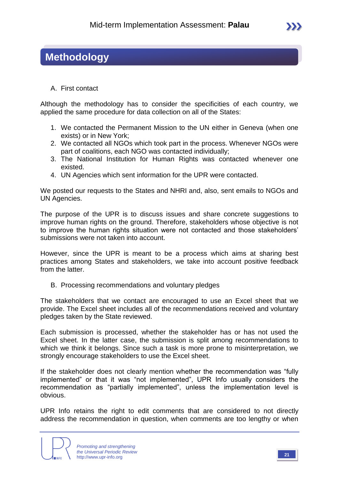### **Methodology**

A. First contact

Although the methodology has to consider the specificities of each country, we applied the same procedure for data collection on all of the States:

- 1. We contacted the Permanent Mission to the UN either in Geneva (when one exists) or in New York;
- 2. We contacted all NGOs which took part in the process. Whenever NGOs were part of coalitions, each NGO was contacted individually;
- 3. The National Institution for Human Rights was contacted whenever one existed.
- 4. UN Agencies which sent information for the UPR were contacted.

We posted our requests to the States and NHRI and, also, sent emails to NGOs and UN Agencies.

The purpose of the UPR is to discuss issues and share concrete suggestions to improve human rights on the ground. Therefore, stakeholders whose objective is not to improve the human rights situation were not contacted and those stakeholders' submissions were not taken into account.

However, since the UPR is meant to be a process which aims at sharing best practices among States and stakeholders, we take into account positive feedback from the latter.

B. Processing recommendations and voluntary pledges

The stakeholders that we contact are encouraged to use an Excel sheet that we provide. The Excel sheet includes all of the recommendations received and voluntary pledges taken by the State reviewed.

Each submission is processed, whether the stakeholder has or has not used the Excel sheet. In the latter case, the submission is split among recommendations to which we think it belongs. Since such a task is more prone to misinterpretation, we strongly encourage stakeholders to use the Excel sheet.

If the stakeholder does not clearly mention whether the recommendation was "fully implemented" or that it was "not implemented", UPR Info usually considers the recommendation as "partially implemented", unless the implementation level is obvious.

UPR Info retains the right to edit comments that are considered to not directly address the recommendation in question, when comments are too lengthy or when

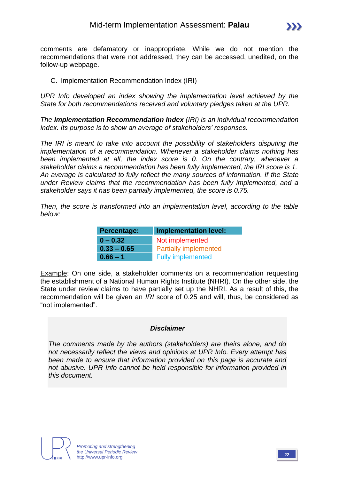

comments are defamatory or inappropriate. While we do not mention the recommendations that were not addressed, they can be accessed, unedited, on the follow-up webpage.

### C. Implementation Recommendation Index (IRI)

*UPR Info developed an index showing the implementation level achieved by the State for both recommendations received and voluntary pledges taken at the UPR.*

*The Implementation Recommendation Index (IRI) is an individual recommendation index. Its purpose is to show an average of stakeholders' responses.*

*The IRI is meant to take into account the possibility of stakeholders disputing the implementation of a recommendation. Whenever a stakeholder claims nothing has*  been implemented at all, the index score is 0. On the contrary, whenever a *stakeholder claims a recommendation has been fully implemented, the IRI score is 1. An average is calculated to fully reflect the many sources of information. If the State under Review claims that the recommendation has been fully implemented, and a stakeholder says it has been partially implemented, the score is 0.75.* 

*Then, the score is transformed into an implementation level, according to the table below:*

| Percentage:   | <b>Implementation level:</b> |  |  |  |  |  |
|---------------|------------------------------|--|--|--|--|--|
| $0 - 0.32$    | Not implemented              |  |  |  |  |  |
| $0.33 - 0.65$ | <b>Partially implemented</b> |  |  |  |  |  |
| $0.66 - 1$    | <b>Fully implemented</b>     |  |  |  |  |  |

Example: On one side, a stakeholder comments on a recommendation requesting the establishment of a National Human Rights Institute (NHRI). On the other side, the State under review claims to have partially set up the NHRI. As a result of this, the recommendation will be given an *IRI* score of 0.25 and will, thus, be considered as "not implemented".

### *Disclaimer*

*The comments made by the authors (stakeholders) are theirs alone, and do not necessarily reflect the views and opinions at UPR Info. Every attempt has been made to ensure that information provided on this page is accurate and not abusive. UPR Info cannot be held responsible for information provided in this document.*

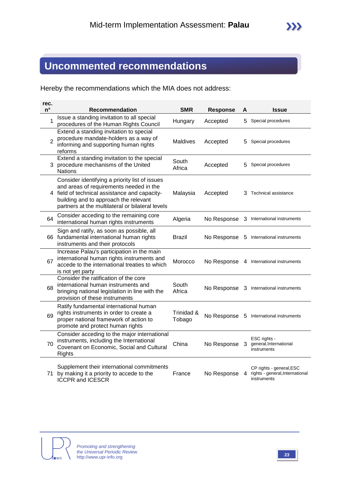### **Uncommented recommendations**

Hereby the recommendations which the MIA does not address:

| rec.<br>$n^{\circ}$ | Recommendation                                                                                                                                                                                                                          | <b>SMR</b>           | <b>Response</b> | А | <b>Issue</b>                                                               |
|---------------------|-----------------------------------------------------------------------------------------------------------------------------------------------------------------------------------------------------------------------------------------|----------------------|-----------------|---|----------------------------------------------------------------------------|
| 1                   | Issue a standing invitation to all special<br>procedures of the Human Rights Council                                                                                                                                                    | Hungary              | Accepted        |   | 5 Special procedures                                                       |
| $\overline{2}$      | Extend a standing invitation to special<br>procedure mandate-holders as a way of<br>informing and supporting human rights<br>reforms                                                                                                    | <b>Maldives</b>      | Accepted        | 5 | Special procedures                                                         |
|                     | Extend a standing invitation to the special<br>3 procedure mechanisms of the United<br><b>Nations</b>                                                                                                                                   | South<br>Africa      | Accepted        | 5 | Special procedures                                                         |
|                     | Consider identifying a priority list of issues<br>and areas of requirements needed in the<br>4 field of technical assistance and capacity-<br>building and to approach the relevant<br>partners at the multilateral or bilateral levels | Malaysia             | Accepted        | З | Technical assistance                                                       |
| 64                  | Consider acceding to the remaining core<br>international human rights instruments                                                                                                                                                       | Algeria              | No Response     |   | 3 International instruments                                                |
|                     | Sign and ratify, as soon as possible, all<br>66 fundamental international human rights<br>instruments and their protocols                                                                                                               | Brazil               | No Response     | 5 | International instruments                                                  |
| 67                  | Increase Palau's participation in the main<br>international human rights instruments and<br>accede to the international treaties to which<br>is not yet party                                                                           | Morocco              | No Response     |   | 4 International instruments                                                |
| 68                  | Consider the ratification of the core<br>international human instruments and<br>bringing national legislation in line with the<br>provision of these instruments                                                                        | South<br>Africa      | No Response     |   | 3 International instruments                                                |
| 69                  | Ratify fundamental international human<br>rights instruments in order to create a<br>proper national framework of action to<br>promote and protect human rights                                                                         | Trinidad &<br>Tobago | No Response     |   | 5 International instruments                                                |
| 70                  | Consider acceding to the major international<br>instruments, including the International<br>Covenant on Economic, Social and Cultural<br>Rights                                                                                         | China                | No Response     | 3 | ESC rights -<br>general, International<br>instruments                      |
|                     | Supplement their international commitments<br>71 by making it a priority to accede to the<br><b>ICCPR and ICESCR</b>                                                                                                                    | France               | No Response     | 4 | CP rights - general, ESC<br>rights - general, International<br>instruments |

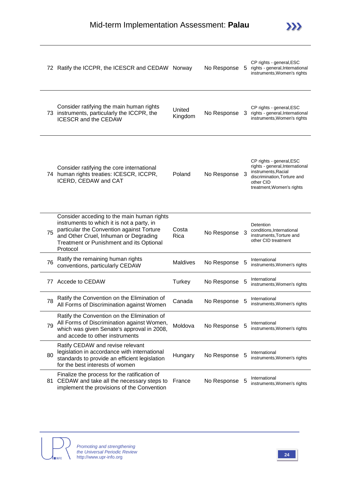

|    | 72 Ratify the ICCPR, the ICESCR and CEDAW Norway                                                                                                                                                                                       |                   | No Response   | 5  | CP rights - general, ESC<br>rights - general, International<br>instruments, Women's rights                                                                  |
|----|----------------------------------------------------------------------------------------------------------------------------------------------------------------------------------------------------------------------------------------|-------------------|---------------|----|-------------------------------------------------------------------------------------------------------------------------------------------------------------|
|    | Consider ratifying the main human rights<br>73 instruments, particularly the ICCPR, the<br><b>ICESCR and the CEDAW</b>                                                                                                                 | United<br>Kingdom | No Response   | 3  | CP rights - general, ESC<br>rights - general, International<br>instruments, Women's rights                                                                  |
|    | Consider ratifying the core international<br>74 human rights treaties: ICESCR, ICCPR,<br>ICERD, CEDAW and CAT                                                                                                                          | Poland            | No Response   | -3 | CP rights - general, ESC<br>rights - general, International<br>instruments, Racial<br>discrimination, Torture and<br>other CID<br>treatment, Women's rights |
| 75 | Consider acceding to the main human rights<br>instruments to which it is not a party, in<br>particular the Convention against Torture<br>and Other Cruel, Inhuman or Degrading<br>Treatment or Punishment and its Optional<br>Protocol | Costa<br>Rica     | No Response   | 3  | Detention<br>conditions, International<br>instruments, Torture and<br>other CID treatment                                                                   |
| 76 | Ratify the remaining human rights<br>conventions, particularly CEDAW                                                                                                                                                                   | <b>Maldives</b>   | No Response   | 5  | International<br>instruments, Women's rights                                                                                                                |
| 77 | Accede to CEDAW                                                                                                                                                                                                                        | Turkey            | No Response   | 5  | International<br>instruments, Women's rights                                                                                                                |
| 78 | Ratify the Convention on the Elimination of<br>All Forms of Discrimination against Women                                                                                                                                               | Canada            | No Response   | 5  | International<br>instruments, Women's rights                                                                                                                |
| 79 | Ratify the Convention on the Elimination of<br>All Forms of Discrimination against Women,<br>which was given Senate's approval in 2008,<br>and accede to other instruments                                                             | Moldova           | No Response   |    | International<br>instruments, Women's rights                                                                                                                |
| 80 | Ratify CEDAW and revise relevant<br>legislation in accordance with international<br>standards to provide an efficient legislation<br>for the best interests of women                                                                   | Hungary           | No Response 5 |    | International<br>instruments, Women's rights                                                                                                                |
|    | Finalize the process for the ratification of<br>81 CEDAW and take all the necessary steps to<br>implement the provisions of the Convention                                                                                             | France            | No Response   | 5  | International<br>instruments, Women's rights                                                                                                                |

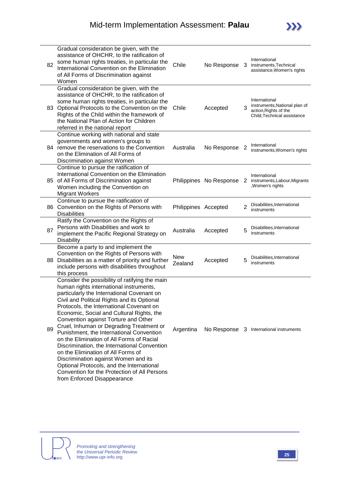| 82 | Gradual consideration be given, with the<br>assistance of OHCHR, to the ratification of<br>some human rights treaties, in particular the<br>International Convention on the Elimination<br>of All Forms of Discrimination against<br>Women                                                                                                                                                                                                                                                                                                                                                                                                                                                                             | Chile                 | No Response             | 3              | International<br>instruments, Technical<br>assistance, Women's rights                                  |
|----|------------------------------------------------------------------------------------------------------------------------------------------------------------------------------------------------------------------------------------------------------------------------------------------------------------------------------------------------------------------------------------------------------------------------------------------------------------------------------------------------------------------------------------------------------------------------------------------------------------------------------------------------------------------------------------------------------------------------|-----------------------|-------------------------|----------------|--------------------------------------------------------------------------------------------------------|
|    | Gradual consideration be given, with the<br>assistance of OHCHR, to the ratification of<br>some human rights treaties, in particular the<br>83 Optional Protocols to the Convention on the<br>Rights of the Child within the framework of<br>the National Plan of Action for Children<br>referred in the national report                                                                                                                                                                                                                                                                                                                                                                                               | Chile                 | Accepted                | 3              | International<br>instruments, National plan of<br>action, Rights of the<br>Child, Technical assistance |
|    | Continue working with national and state<br>governments and women's groups to<br>84 remove the reservations to the Convention<br>on the Elimination of All Forms of<br>Discrimination against Women                                                                                                                                                                                                                                                                                                                                                                                                                                                                                                                    | Australia             | No Response             | 2              | International<br>instruments, Women's rights                                                           |
|    | Continue to pursue the ratification of<br>International Convention on the Elimination<br>85 of All Forms of Discrimination against<br>Women including the Convention on<br><b>Migrant Workers</b>                                                                                                                                                                                                                                                                                                                                                                                                                                                                                                                      |                       | Philippines No Response | 2              | International<br>instruments, Labour, Migrants<br>,Women's rights                                      |
|    | Continue to pursue the ratification of<br>86 Convention on the Rights of Persons with<br><b>Disabilities</b>                                                                                                                                                                                                                                                                                                                                                                                                                                                                                                                                                                                                           | Philippines Accepted  |                         | $\overline{2}$ | Disabilities, International<br>instruments                                                             |
| 87 | Ratify the Convention on the Rights of<br>Persons with Disabilities and work to<br>implement the Pacific Regional Strategy on<br>Disability                                                                                                                                                                                                                                                                                                                                                                                                                                                                                                                                                                            | Australia             | Accepted                | 5              | Disabilities, International<br>instruments                                                             |
| 88 | Become a party to and implement the<br>Convention on the Rights of Persons with<br>Disabilities as a matter of priority and further<br>include persons with disabilities throughout<br>this process                                                                                                                                                                                                                                                                                                                                                                                                                                                                                                                    | <b>New</b><br>Zealand | Accepted                | 5              | Disabilities, International<br>instruments                                                             |
| 89 | Consider the possibility of ratifying the main<br>human rights international instruments,<br>particularly the International Covenant on<br>Civil and Political Rights and its Optional<br>Protocols, the International Covenant on<br>Economic, Social and Cultural Rights, the<br>Convention against Torture and Other<br>Cruel, Inhuman or Degrading Treatment or<br>Punishment, the International Convention<br>on the Elimination of All Forms of Racial<br>Discrimination, the International Convention<br>on the Elimination of All Forms of<br>Discrimination against Women and its<br>Optional Protocols, and the International<br>Convention for the Protection of All Persons<br>from Enforced Disappearance | Argentina             |                         |                | No Response 3 International instruments                                                                |

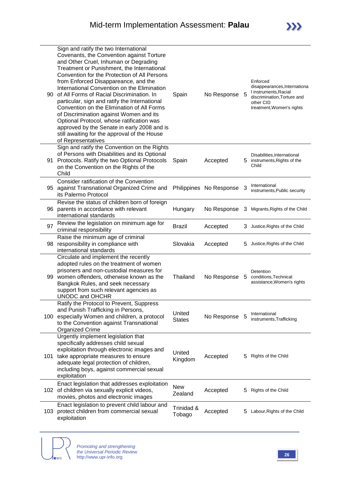| 90. | Sign and ratify the two International<br>Covenants, the Convention against Torture<br>and Other Cruel, Inhuman or Degrading<br>Treatment or Punishment, the International<br>Convention for the Protection of All Persons<br>from Enforced Disappareance, and the<br>International Convention on the Elimination<br>of All Forms of Racial Discrimination. In<br>particular, sign and ratify the International<br>Convention on the Elimination of All Forms<br>of Discrimination against Women and its<br>Optional Protocol, whose ratification was<br>approved by the Senate in early 2008 and is<br>still awaiting for the approval of the House<br>of Representatives | Spain                   | No Response             | 5  | Enforced<br>disappearances, Internationa<br>I instruments, Racial<br>discrimination, Torture and<br>other CID<br>treatment, Women's rights |
|-----|---------------------------------------------------------------------------------------------------------------------------------------------------------------------------------------------------------------------------------------------------------------------------------------------------------------------------------------------------------------------------------------------------------------------------------------------------------------------------------------------------------------------------------------------------------------------------------------------------------------------------------------------------------------------------|-------------------------|-------------------------|----|--------------------------------------------------------------------------------------------------------------------------------------------|
|     | Sign and ratify the Convention on the Rights<br>of Persons with Disabilities and its Optional<br>91 Protocols. Ratify the two Optional Protocols<br>on the Convention on the Rights of the<br>Child                                                                                                                                                                                                                                                                                                                                                                                                                                                                       | Spain                   | Accepted                |    | Disabilities, International<br>5 instruments, Rights of the<br>Child                                                                       |
|     | Consider ratification of the Convention<br>95 against Transnational Organized Crime and<br>its Palermo Protocol                                                                                                                                                                                                                                                                                                                                                                                                                                                                                                                                                           |                         | Philippines No Response | 3  | International<br>instruments, Public security                                                                                              |
| 96  | Revise the status of children born of foreign<br>parents in accordance with relevant<br>international standards                                                                                                                                                                                                                                                                                                                                                                                                                                                                                                                                                           | Hungary                 | No Response             | 3  | Migrants, Rights of the Child                                                                                                              |
| 97  | Review the legislation on minimum age for<br>criminal responsibility                                                                                                                                                                                                                                                                                                                                                                                                                                                                                                                                                                                                      | Brazil                  | Accepted                |    | 3 Justice, Rights of the Child                                                                                                             |
| 98  | Raise the minimum age of criminal<br>responsibility in compliance with<br>international standards                                                                                                                                                                                                                                                                                                                                                                                                                                                                                                                                                                         | Slovakia                | Accepted                | 5  | Justice, Rights of the Child                                                                                                               |
| 99  | Circulate and implement the recently<br>adopted rules on the treatment of women<br>prisoners and non-custodial measures for<br>women offenders, otherwise known as the<br>Bangkok Rules, and seek necessary<br>support from such relevant agencies as<br>UNODC and OHCHR                                                                                                                                                                                                                                                                                                                                                                                                  | Thailand                | No Response             | 5  | Detention<br>conditions, Technical<br>assistance, Women's rights                                                                           |
| 100 | Ratify the Protocol to Prevent, Suppress<br>and Punish Trafficking in Persons,<br>especially Women and children, a protocol<br>to the Convention against Transnational<br><b>Organized Crime</b>                                                                                                                                                                                                                                                                                                                                                                                                                                                                          | United<br><b>States</b> | No Response             | 5  | International<br>instruments, Trafficking                                                                                                  |
|     | Urgently implement legislation that<br>specifically addresses child sexual<br>exploitation through electronic images and<br>101 take appropriate measures to ensure<br>adequate legal protection of children,<br>including boys, against commercial sexual<br>exploitation                                                                                                                                                                                                                                                                                                                                                                                                | United<br>Kingdom       | Accepted                | 5. | Rights of the Child                                                                                                                        |
|     | Enact legislation that addresses exploitation<br>102 of children via sexually explicit videos,<br>movies, photos and electronic images                                                                                                                                                                                                                                                                                                                                                                                                                                                                                                                                    | <b>New</b><br>Zealand   | Accepted                | 5. | Rights of the Child                                                                                                                        |
| 103 | Enact legislation to prevent child labour and<br>protect children from commercial sexual<br>exploitation                                                                                                                                                                                                                                                                                                                                                                                                                                                                                                                                                                  | Trinidad &<br>Tobago    | Accepted                | 5. | Labour, Rights of the Child                                                                                                                |

**NINFO**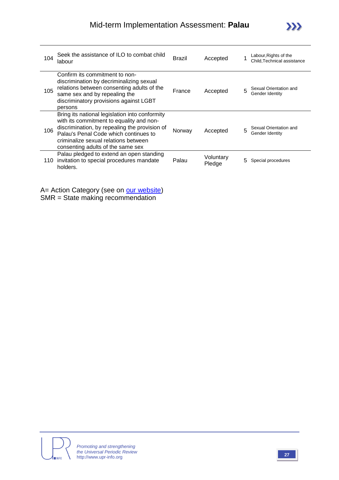| 104 | Seek the assistance of ILO to combat child<br>labour                                                                                                                                                                                                              | <b>Brazil</b> | Accepted            |   | Labour, Rights of the<br>Child, Technical assistance |
|-----|-------------------------------------------------------------------------------------------------------------------------------------------------------------------------------------------------------------------------------------------------------------------|---------------|---------------------|---|------------------------------------------------------|
| 105 | Confirm its commitment to non-<br>discrimination by decriminalizing sexual<br>relations between consenting adults of the<br>same sex and by repealing the<br>discriminatory provisions against LGBT<br>persons                                                    | France        | Accepted            | 5 | Sexual Orientation and<br>Gender Identity            |
| 106 | Bring its national legislation into conformity<br>with its commitment to equality and non-<br>discrimination, by repealing the provision of<br>Palau's Penal Code which continues to<br>criminalize sexual relations between<br>consenting adults of the same sex | Norway        | Accepted            | 5 | Sexual Orientation and<br>Gender Identity            |
| 110 | Palau pledged to extend an open standing<br>invitation to special procedures mandate<br>holders.                                                                                                                                                                  | Palau         | Voluntary<br>Pledge | 5 | Special procedures                                   |

A= Action Category (see on **our website)** SMR = State making recommendation



 $\sum$